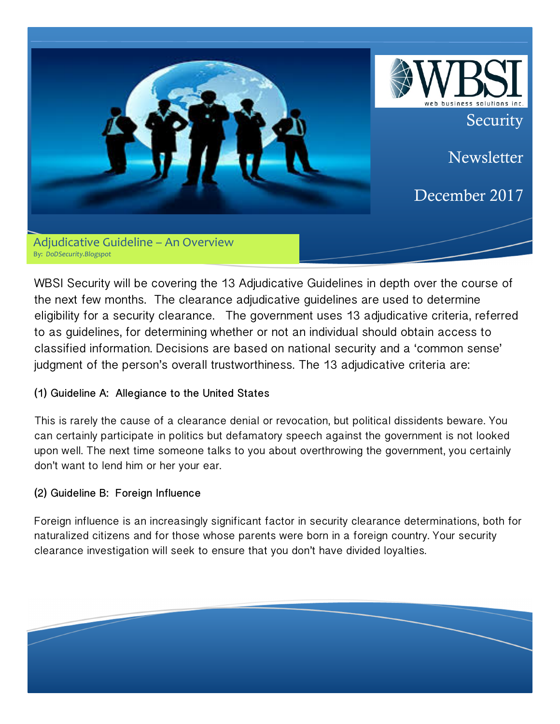

WBSI Security will be covering the 13 Adjudicative Guidelines in depth over the course of the next few months. The clearance adjudicative guidelines are used to determine eligibility for a security clearance. The government uses 13 adjudicative criteria, referred to as guidelines, for determining whether or not an individual should obtain access to classified information. Decisions are based on national security and a 'common sense' judgment of the person's overall trustworthiness. The 13 adjudicative criteria are:

## **(1) Guideline A: Allegiance to the United States**

This is rarely the cause of a clearance denial or revocation, but political dissidents beware. You can certainly participate in politics but defamatory speech against the government is not looked upon well. The next time someone talks to you about overthrowing the government, you certainly don't want to lend him or her your ear.

## **(2) Guideline B: Foreign Influence**

Foreign influence is an increasingly significant factor in security clearance determinations, both for naturalized citizens and for those whose parents were born in a foreign country. Your security clearance investigation will seek to ensure that you don't have divided loyalties.

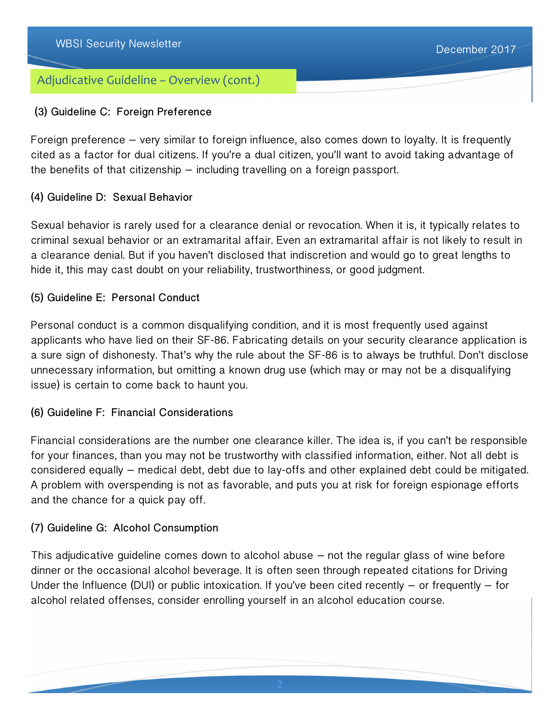# Adjudicative Guideline – Overview (cont.)

### **(3) Guideline C: Foreign Preference**

Foreign preference – very similar to foreign influence, also comes down to loyalty. It is frequently cited as a factor for dual citizens. If you're a dual citizen, you'll want to avoid taking advantage of the benefits of that citizenship – including travelling on a foreign passport.

### **(4) Guideline D: Sexual Behavior**

Sexual behavior is rarely used for a clearance denial or revocation. When it is, it typically relates to criminal sexual behavior or an extramarital affair. Even an extramarital affair is not likely to result in a clearance denial. But if you haven't disclosed that indiscretion and would go to great lengths to hide it, this may cast doubt on your reliability, trustworthiness, or good judgment.

### **(5) Guideline E: Personal Conduct**

Personal conduct is a common disqualifying condition, and it is most frequently used against applicants who have lied on their SF-86. Fabricating details on your security clearance application is a sure sign of dishonesty. That's why the rule about the SF-86 is to always be truthful. Don't disclose unnecessary information, but omitting a known drug use (which may or may not be a disqualifying issue) is certain to come back to haunt you.

### **(6) Guideline F: Financial Considerations**

Financial considerations are the number one clearance killer. The idea is, if you can't be responsible for your finances, than you may not be trustworthy with classified information, either. Not all debt is considered equally – medical debt, debt due to lay-offs and other explained debt could be mitigated. A problem with overspending is not as favorable, and puts you at risk for foreign espionage efforts and the chance for a quick pay off.

### **(7) Guideline G: Alcohol Consumption**

This adjudicative guideline comes down to alcohol abuse – not the regular glass of wine before dinner or the occasional alcohol beverage. It is often seen through repeated citations for Driving Under the Influence (DUI) or public intoxication. If you've been cited recently  $-$  or frequently  $-$  for alcohol related offenses, consider enrolling yourself in an alcohol education course.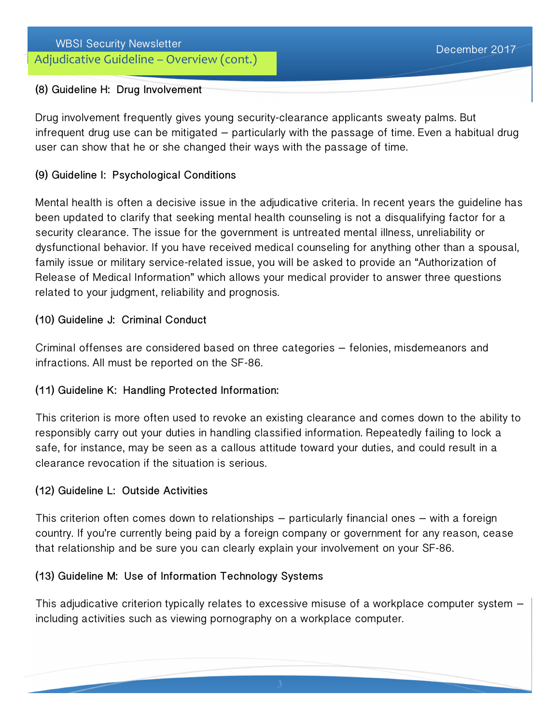# Adjudicative Guideline - Overview (cont.)

#### **(8) Guideline H: Drug Involvement**

Drug involvement frequently gives young security-clearance applicants sweaty palms. But infrequent drug use can be mitigated – particularly with the passage of time. Even a habitual drug user can show that he or she changed their ways with the passage of time.

### **(9) Guideline I: Psychological Conditions**

Mental health is often a decisive issue in the adjudicative criteria. In recent years the guideline has been updated to clarify that seeking mental health counseling is not a disqualifying factor for a security clearance. The issue for the government is untreated mental illness, unreliability or dysfunctional behavior. If you have received medical counseling for anything other than a spousal, family issue or military service-related issue, you will be asked to provide an "Authorization of Release of Medical Information" which allows your medical provider to answer three questions related to your judgment, reliability and prognosis.

#### **(10) Guideline J: Criminal Conduct**

Criminal offenses are considered based on three categories – felonies, misdemeanors and infractions. All must be reported on the SF-86.

### **(11) Guideline K: Handling Protected Information:**

This criterion is more often used to revoke an existing clearance and comes down to the ability to responsibly carry out your duties in handling classified information. Repeatedly failing to lock a safe, for instance, may be seen as a callous attitude toward your duties, and could result in a clearance revocation if the situation is serious.

### **(12) Guideline L: Outside Activities**

This criterion often comes down to relationships – particularly financial ones – with a foreign country. If you're currently being paid by a foreign company or government for any reason, cease that relationship and be sure you can clearly explain your involvement on your SF-86.

### **(13) Guideline M: Use of Information Technology Systems**

This adjudicative criterion typically relates to excessive misuse of a workplace computer system – including activities such as viewing pornography on a workplace computer.